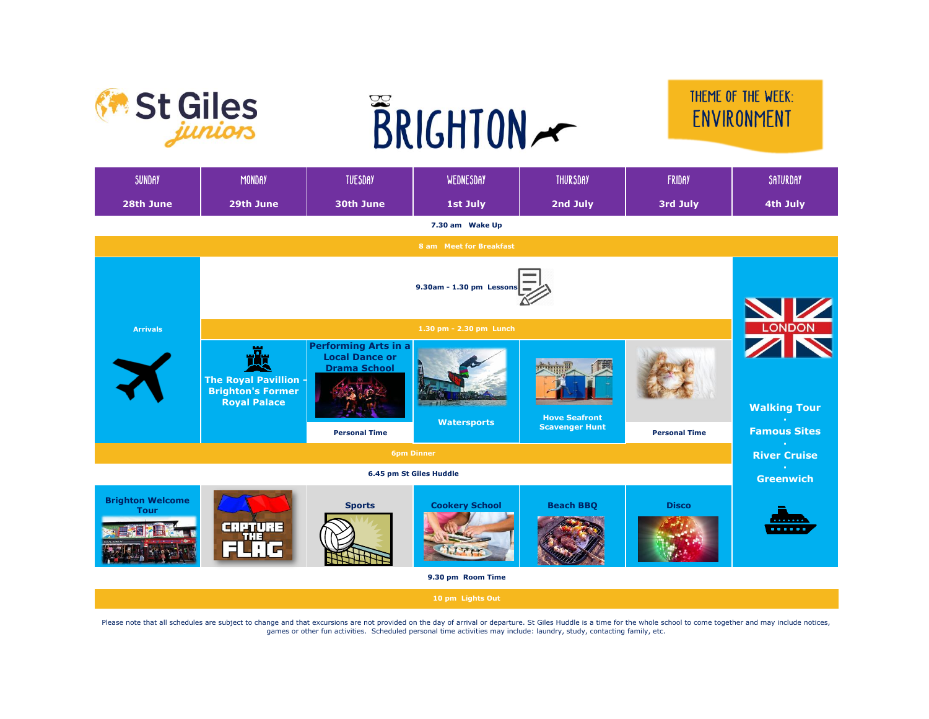



## THEME OF THE WEEK: ENVIRONMENT

| SUNDAY                                       | <b>MONDAY</b>                                                                 | <b>TUESDAY</b>                                                                                      | WEDNESDAY             | <b>THURSDAY</b>                               | <b>FRIDAY</b>        | SATURDAY                                   |  |  |  |
|----------------------------------------------|-------------------------------------------------------------------------------|-----------------------------------------------------------------------------------------------------|-----------------------|-----------------------------------------------|----------------------|--------------------------------------------|--|--|--|
| 28th June                                    | 29th June                                                                     | 30th June                                                                                           | 1st July              | 2nd July                                      | 3rd July             | 4th July                                   |  |  |  |
| 7.30 am Wake Up                              |                                                                               |                                                                                                     |                       |                                               |                      |                                            |  |  |  |
| 8 am Meet for Breakfast                      |                                                                               |                                                                                                     |                       |                                               |                      |                                            |  |  |  |
|                                              |                                                                               |                                                                                                     |                       |                                               |                      |                                            |  |  |  |
| <b>Arrivals</b>                              | 1.30 pm - 2.30 pm Lunch                                                       |                                                                                                     |                       |                                               |                      |                                            |  |  |  |
|                                              | <b>The Royal Pavillion</b><br><b>Brighton's Former</b><br><b>Royal Palace</b> | <b>Performing Arts in a</b><br><b>Local Dance or</b><br><b>Drama School</b><br><b>Personal Time</b> | <b>Watersports</b>    | <b>Hove Seafront</b><br><b>Scavenger Hunt</b> | <b>Personal Time</b> | <b>Walking Tour</b><br><b>Famous Sites</b> |  |  |  |
|                                              |                                                                               |                                                                                                     |                       |                                               |                      | <b>A</b><br><b>River Cruise</b>            |  |  |  |
| <b>6pm Dinner</b><br>6.45 pm St Giles Huddle |                                                                               |                                                                                                     |                       |                                               |                      |                                            |  |  |  |
|                                              |                                                                               | <b>Greenwich</b>                                                                                    |                       |                                               |                      |                                            |  |  |  |
| <b>Brighton Welcome</b><br><b>Tour</b>       | <b>CRPTURE</b><br>THE<br>FUIL                                                 | <b>Sports</b>                                                                                       | <b>Cookery School</b> | <b>Beach BBQ</b>                              | <b>Disco</b>         | .<br>.                                     |  |  |  |
|                                              |                                                                               |                                                                                                     | 9.30 pm Room Time     |                                               |                      |                                            |  |  |  |
|                                              |                                                                               |                                                                                                     | 10 pm Lights Out      |                                               |                      |                                            |  |  |  |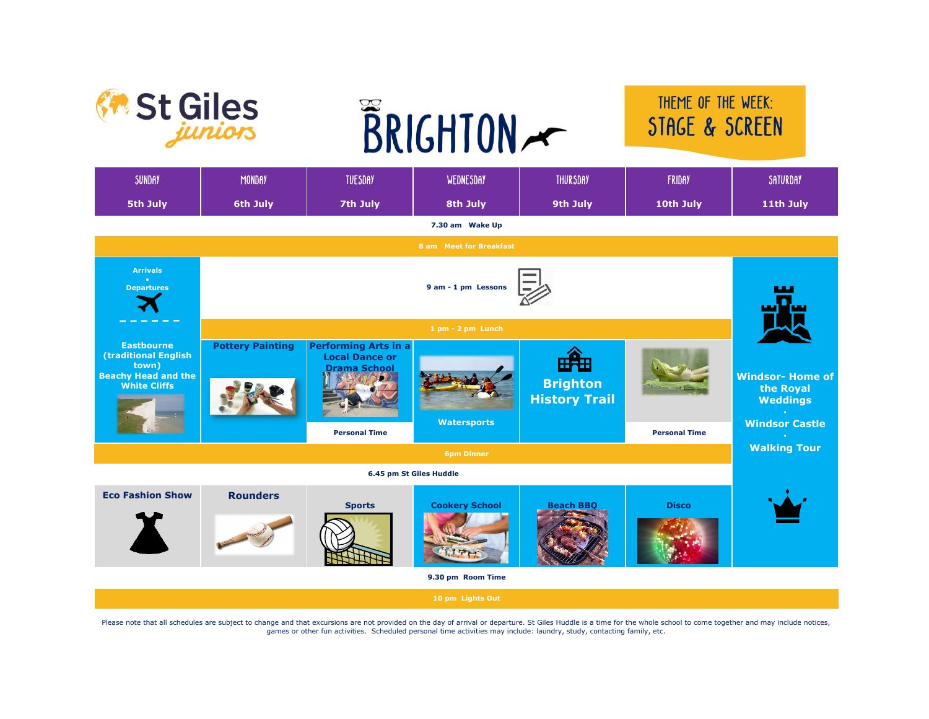



## THEME OF THE WEEK: STAGE & SCREEN

| <b>SUNDAY</b>                                                                                           | <b>MONDAY</b>           | <b>TUESDAY</b>                                                                                      | WEDNESDAY             | <b>THURSDAY</b>                                | FRIDAY               | SATURDAY                                                                                               |  |  |
|---------------------------------------------------------------------------------------------------------|-------------------------|-----------------------------------------------------------------------------------------------------|-----------------------|------------------------------------------------|----------------------|--------------------------------------------------------------------------------------------------------|--|--|
| 5th July                                                                                                | 6th July                | 7th July                                                                                            | 8th July              | 9th July                                       | 10th July            | 11th July                                                                                              |  |  |
| 7.30 am Wake Up                                                                                         |                         |                                                                                                     |                       |                                                |                      |                                                                                                        |  |  |
| 8 am Meet for Breakfast                                                                                 |                         |                                                                                                     |                       |                                                |                      |                                                                                                        |  |  |
| <b>Arrivals</b><br><b>Departures</b>                                                                    |                         |                                                                                                     |                       |                                                |                      |                                                                                                        |  |  |
|                                                                                                         | 1 pm - 2 pm Lunch       |                                                                                                     |                       |                                                |                      |                                                                                                        |  |  |
| <b>Eastbourne</b><br>(traditional English<br>town)<br><b>Beachy Head and the</b><br><b>White Cliffs</b> | <b>Pottery Painting</b> | <b>Performing Arts in a</b><br><b>Local Dance or</b><br><b>Drama School</b><br><b>Personal Time</b> | <b>Watersports</b>    | 858<br><b>Brighton</b><br><b>History Trail</b> | <b>Personal Time</b> | <b>Windsor-Home of</b><br>the Royal<br><b>Weddings</b><br><b>Windsor Castle</b><br><b>Walking Tour</b> |  |  |
| <b>6pm Dinner</b>                                                                                       |                         |                                                                                                     |                       |                                                |                      |                                                                                                        |  |  |
| 6.45 pm St Giles Huddle                                                                                 |                         |                                                                                                     |                       |                                                |                      |                                                                                                        |  |  |
| <b>Eco Fashion Show</b>                                                                                 | <b>Rounders</b>         | <b>Sports</b>                                                                                       | <b>Cookery School</b> | <b>Beach BBQ</b>                               | <b>Disco</b>         |                                                                                                        |  |  |
|                                                                                                         |                         |                                                                                                     | 9.30 pm Room Time     |                                                |                      |                                                                                                        |  |  |
|                                                                                                         |                         |                                                                                                     | 10 pm Lights Out      |                                                |                      |                                                                                                        |  |  |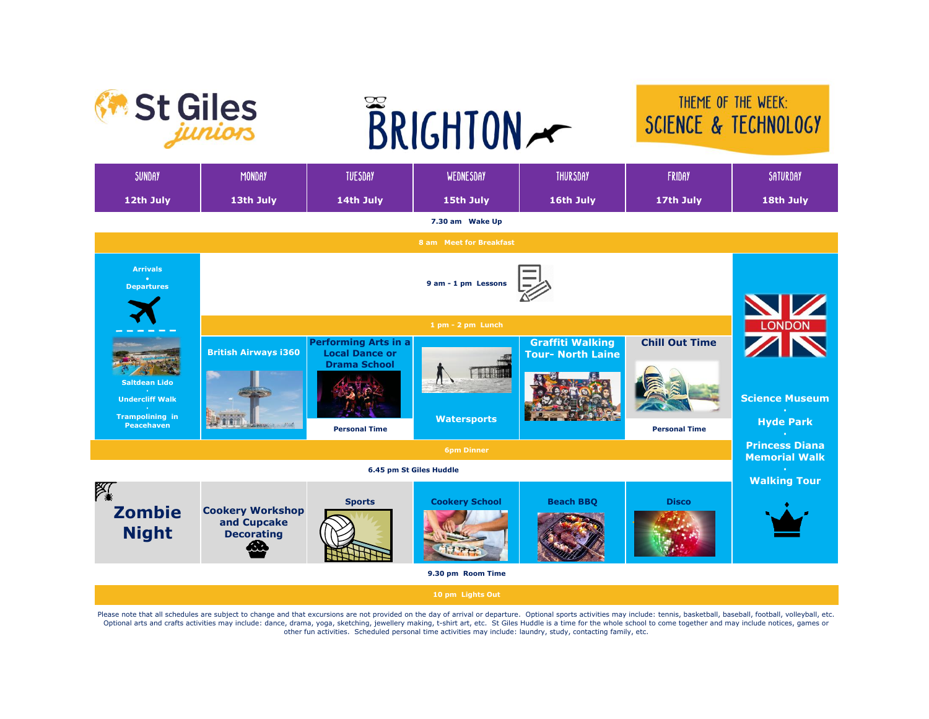

## THEME OF THE WEEK: SCIENCE & TECHNOLOGY

| <b>SUNDAY</b>                                                                                 | MONDAY                                                           | <b>TUESDAY</b>                                                                                      | WEDNESDAY                                | <b>THURSDAY</b>                                     | <b>FRIDAY</b>                                 | SATURDAY                                                           |  |
|-----------------------------------------------------------------------------------------------|------------------------------------------------------------------|-----------------------------------------------------------------------------------------------------|------------------------------------------|-----------------------------------------------------|-----------------------------------------------|--------------------------------------------------------------------|--|
| 12th July                                                                                     | 13th July                                                        | 14th July                                                                                           | 15th July                                | 16th July                                           | 17th July                                     | 18th July                                                          |  |
|                                                                                               |                                                                  |                                                                                                     | 7.30 am Wake Up                          |                                                     |                                               |                                                                    |  |
|                                                                                               |                                                                  |                                                                                                     | 8 am Meet for Breakfast                  |                                                     |                                               |                                                                    |  |
| <b>Arrivals</b><br><b>Departures</b>                                                          |                                                                  |                                                                                                     |                                          |                                                     |                                               |                                                                    |  |
|                                                                                               |                                                                  |                                                                                                     | 1 pm - 2 pm Lunch                        |                                                     |                                               | LONDON                                                             |  |
| <b>Saltdean Lido</b><br><b>Undercliff Walk</b><br><b>Trampolining in</b><br><b>Peacehaven</b> | <b>British Airways i360</b><br><b>binin</b><br><b>BUCH LINES</b> | <b>Performing Arts in a</b><br><b>Local Dance or</b><br><b>Drama School</b><br><b>Personal Time</b> | <b>AIR BARTALL</b><br><b>Watersports</b> | <b>Graffiti Walking</b><br><b>Tour- North Laine</b> | <b>Chill Out Time</b><br><b>Personal Time</b> | <b>Science Museum</b><br><b>Hyde Park</b><br><b>Princess Diana</b> |  |
| <b>6pm Dinner</b>                                                                             |                                                                  |                                                                                                     |                                          |                                                     |                                               |                                                                    |  |
|                                                                                               |                                                                  |                                                                                                     | 6.45 pm St Giles Huddle                  |                                                     |                                               | <b>Walking Tour</b>                                                |  |
| $\approx$<br><b>Zombie</b><br><b>Night</b>                                                    | <b>Cookery Workshop</b><br>and Cupcake<br><b>Decorating</b>      | <b>Sports</b>                                                                                       | <b>Cookery School</b>                    | <b>Beach BBQ</b>                                    | <b>Disco</b>                                  |                                                                    |  |
|                                                                                               |                                                                  |                                                                                                     | 9.30 pm Room Time                        |                                                     |                                               |                                                                    |  |
|                                                                                               |                                                                  |                                                                                                     | 10 pm Lights Out                         |                                                     |                                               |                                                                    |  |

Please note that all schedules are subject to change and that excursions are not provided on the day of arrival or departure. Optional sports activities may include: tennis, basketball, baseball, football, volleyball, etc. Optional arts and crafts activities may include: dance, drama, yoga, sketching, jewellery making, t-shirt art, etc. St Giles Huddle is a time for the whole school to come together and may include notices, games or other fun activities. Scheduled personal time activities may include: laundry, study, contacting family, etc.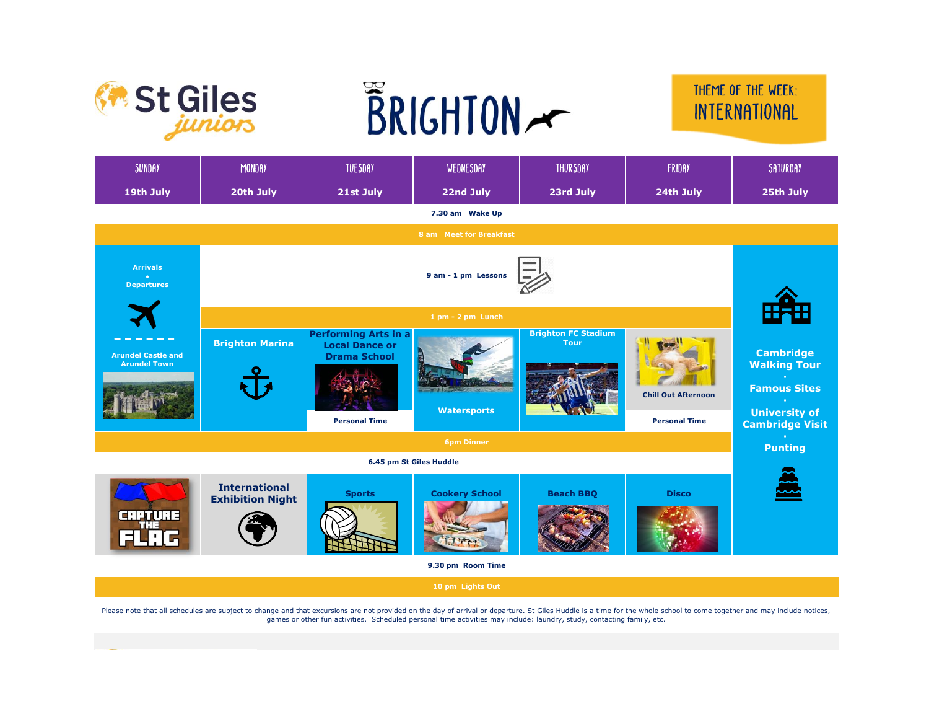



## THEME OF THE WEEK: INTERNATIONAL